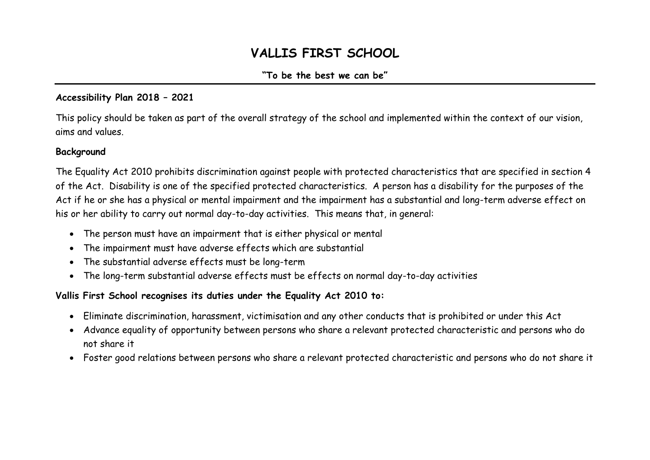# **VALLIS FIRST SCHOOL**

# **"To be the best we can be"**

# **Accessibility Plan 2018 – 2021**

This policy should be taken as part of the overall strategy of the school and implemented within the context of our vision, aims and values.

## **Background**

The Equality Act 2010 prohibits discrimination against people with protected characteristics that are specified in section 4 of the Act. Disability is one of the specified protected characteristics. A person has a disability for the purposes of the Act if he or she has a physical or mental impairment and the impairment has a substantial and long-term adverse effect on his or her ability to carry out normal day-to-day activities. This means that, in general:

- The person must have an impairment that is either physical or mental
- The impairment must have adverse effects which are substantial
- The substantial adverse effects must be long-term
- The long-term substantial adverse effects must be effects on normal day-to-day activities

# **Vallis First School recognises its duties under the Equality Act 2010 to:**

- Eliminate discrimination, harassment, victimisation and any other conducts that is prohibited or under this Act
- Advance equality of opportunity between persons who share a relevant protected characteristic and persons who do not share it
- Foster good relations between persons who share a relevant protected characteristic and persons who do not share it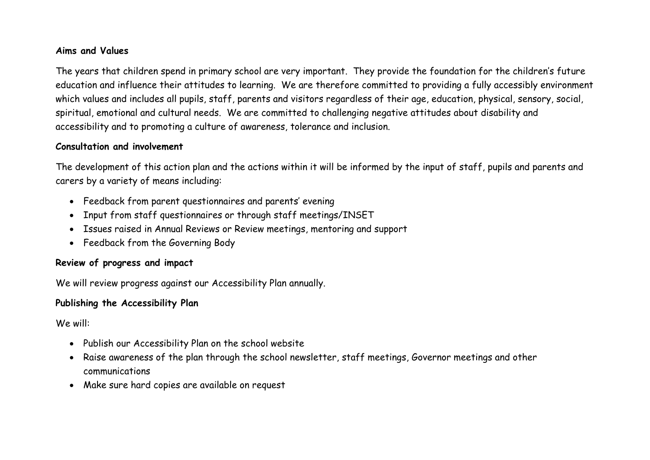### **Aims and Values**

The years that children spend in primary school are very important. They provide the foundation for the children's future education and influence their attitudes to learning. We are therefore committed to providing a fully accessibly environment which values and includes all pupils, staff, parents and visitors regardless of their age, education, physical, sensory, social, spiritual, emotional and cultural needs. We are committed to challenging negative attitudes about disability and accessibility and to promoting a culture of awareness, tolerance and inclusion.

#### **Consultation and involvement**

The development of this action plan and the actions within it will be informed by the input of staff, pupils and parents and carers by a variety of means including:

- Feedback from parent questionnaires and parents' evening
- Input from staff questionnaires or through staff meetings/INSET
- Issues raised in Annual Reviews or Review meetings, mentoring and support
- Feedback from the Governing Body

# **Review of progress and impact**

We will review progress against our Accessibility Plan annually.

# **Publishing the Accessibility Plan**

We will:

- Publish our Accessibility Plan on the school website
- Raise awareness of the plan through the school newsletter, staff meetings, Governor meetings and other communications
- Make sure hard copies are available on request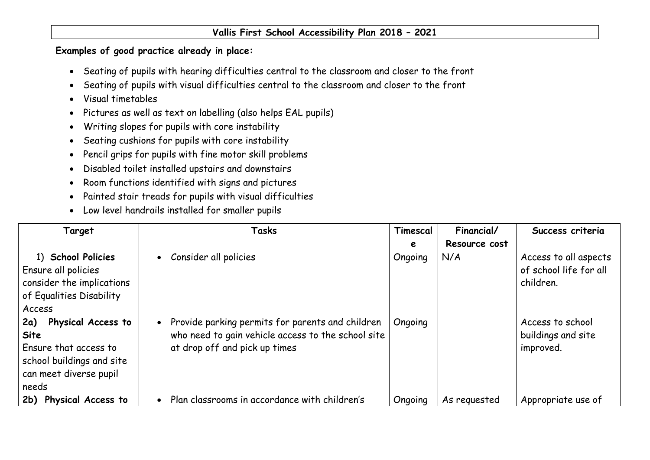## **Vallis First School Accessibility Plan 2018 – 2021**

## **Examples of good practice already in place:**

- Seating of pupils with hearing difficulties central to the classroom and closer to the front
- Seating of pupils with visual difficulties central to the classroom and closer to the front
- Visual timetables
- Pictures as well as text on labelling (also helps EAL pupils)
- Writing slopes for pupils with core instability
- Seating cushions for pupils with core instability
- Pencil grips for pupils with fine motor skill problems
- Disabled toilet installed upstairs and downstairs
- Room functions identified with signs and pictures
- Painted stair treads for pupils with visual difficulties
- Low level handrails installed for smaller pupils

| Target                                                                                                                            | Tasks                                                                                                                                                | Timescal | Financial/    | Success criteria                                             |
|-----------------------------------------------------------------------------------------------------------------------------------|------------------------------------------------------------------------------------------------------------------------------------------------------|----------|---------------|--------------------------------------------------------------|
|                                                                                                                                   |                                                                                                                                                      | e        | Resource cost |                                                              |
| 1) School Policies<br>Ensure all policies<br>consider the implications<br>of Equalities Disability<br>Access                      | Consider all policies<br>$\bullet$                                                                                                                   | Ongoing  | N/A           | Access to all aspects<br>of school life for all<br>children. |
| 2a)<br>Physical Access to<br><b>Site</b><br>Ensure that access to<br>school buildings and site<br>can meet diverse pupil<br>needs | Provide parking permits for parents and children<br>$\bullet$<br>who need to gain vehicle access to the school site<br>at drop off and pick up times | Ongoing  |               | Access to school<br>buildings and site<br>improved.          |
| 2b) Physical Access to                                                                                                            | Plan classrooms in accordance with children's                                                                                                        | Ongoing  | As requested  | Appropriate use of                                           |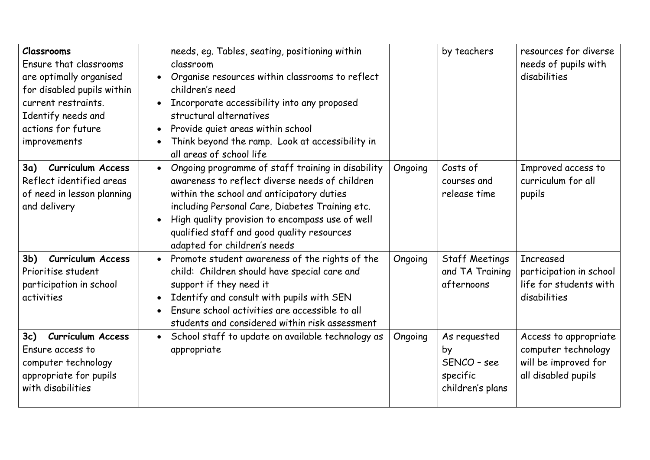| <b>Classrooms</b><br>Ensure that classrooms<br>are optimally organised<br>for disabled pupils within<br>current restraints.<br>Identify needs and<br>actions for future<br>improvements | needs, eq. Tables, seating, positioning within<br>classroom<br>Organise resources within classrooms to reflect<br>$\bullet$<br>children's need<br>Incorporate accessibility into any proposed<br>structural alternatives<br>Provide quiet areas within school<br>$\bullet$<br>Think beyond the ramp. Look at accessibility in<br>$\bullet$<br>all areas of school life |         | by teachers                                                       | resources for diverse<br>needs of pupils with<br>disabilities                               |
|-----------------------------------------------------------------------------------------------------------------------------------------------------------------------------------------|------------------------------------------------------------------------------------------------------------------------------------------------------------------------------------------------------------------------------------------------------------------------------------------------------------------------------------------------------------------------|---------|-------------------------------------------------------------------|---------------------------------------------------------------------------------------------|
| 3a) Curriculum Access<br>Reflect identified areas<br>of need in lesson planning<br>and delivery                                                                                         | Ongoing programme of staff training in disability<br>$\bullet$<br>awareness to reflect diverse needs of children<br>within the school and anticipatory duties<br>including Personal Care, Diabetes Training etc.<br>High quality provision to encompass use of well<br>$\bullet$<br>qualified staff and good quality resources<br>adapted for children's needs         | Ongoing | Costs of<br>courses and<br>release time                           | Improved access to<br>curriculum for all<br>pupils                                          |
| <b>Curriculum Access</b><br>3 <sub>b</sub><br>Prioritise student<br>participation in school<br>activities                                                                               | Promote student awareness of the rights of the<br>$\bullet$<br>child: Children should have special care and<br>support if they need it<br>Identify and consult with pupils with SEN<br>$\bullet$<br>Ensure school activities are accessible to all<br>students and considered within risk assessment                                                                   | Ongoing | <b>Staff Meetings</b><br>and TA Training<br>afternoons            | <b>Increased</b><br>participation in school<br>life for students with<br>disabilities       |
| <b>Curriculum Access</b><br>3c)<br>Ensure access to<br>computer technology<br>appropriate for pupils<br>with disabilities                                                               | School staff to update on available technology as<br>$\bullet$<br>appropriate                                                                                                                                                                                                                                                                                          | Ongoing | As requested<br>by<br>SENCO - see<br>specific<br>children's plans | Access to appropriate<br>computer technology<br>will be improved for<br>all disabled pupils |